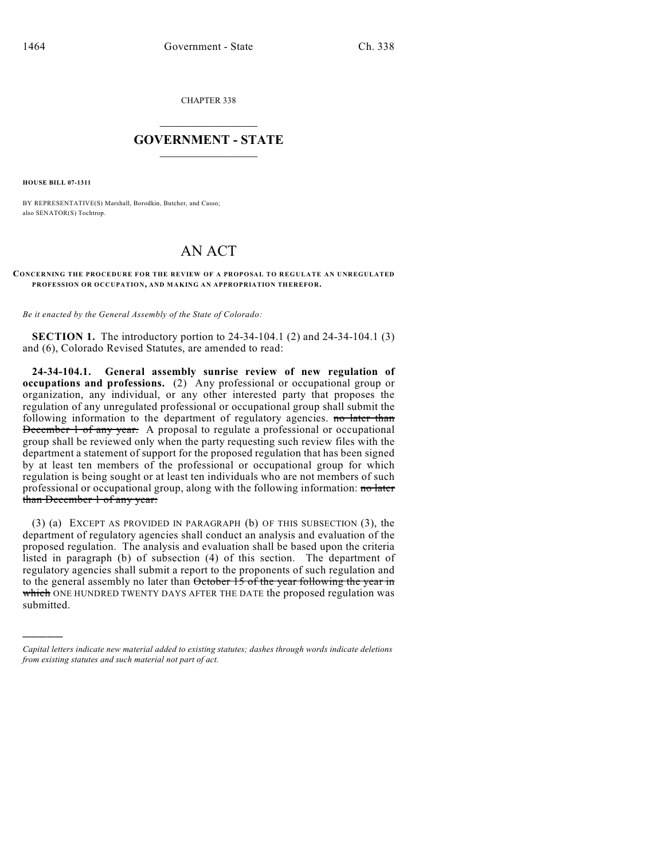CHAPTER 338

## $\mathcal{L}_\text{max}$  . The set of the set of the set of the set of the set of the set of the set of the set of the set of the set of the set of the set of the set of the set of the set of the set of the set of the set of the set **GOVERNMENT - STATE**  $\_$   $\_$   $\_$   $\_$   $\_$   $\_$   $\_$   $\_$

**HOUSE BILL 07-1311**

)))))

BY REPRESENTATIVE(S) Marshall, Borodkin, Butcher, and Casso; also SENATOR(S) Tochtrop.

## AN ACT

## **CONCERNING THE PROCEDURE FOR THE REVIEW OF A PROPOSAL TO REGULATE AN UNREGULATED PROFESSION OR OCCUPATION, AND MAKING AN APPROPRIATION THEREFOR.**

*Be it enacted by the General Assembly of the State of Colorado:*

**SECTION 1.** The introductory portion to 24-34-104.1 (2) and 24-34-104.1 (3) and (6), Colorado Revised Statutes, are amended to read:

**24-34-104.1. General assembly sunrise review of new regulation of occupations and professions.** (2) Any professional or occupational group or organization, any individual, or any other interested party that proposes the regulation of any unregulated professional or occupational group shall submit the following information to the department of regulatory agencies. no later than December 1 of any year. A proposal to regulate a professional or occupational group shall be reviewed only when the party requesting such review files with the department a statement of support for the proposed regulation that has been signed by at least ten members of the professional or occupational group for which regulation is being sought or at least ten individuals who are not members of such professional or occupational group, along with the following information: no later than December 1 of any year:

(3) (a) EXCEPT AS PROVIDED IN PARAGRAPH (b) OF THIS SUBSECTION (3), the department of regulatory agencies shall conduct an analysis and evaluation of the proposed regulation. The analysis and evaluation shall be based upon the criteria listed in paragraph (b) of subsection (4) of this section. The department of regulatory agencies shall submit a report to the proponents of such regulation and to the general assembly no later than October 15 of the year following the year in which ONE HUNDRED TWENTY DAYS AFTER THE DATE the proposed regulation was submitted.

*Capital letters indicate new material added to existing statutes; dashes through words indicate deletions from existing statutes and such material not part of act.*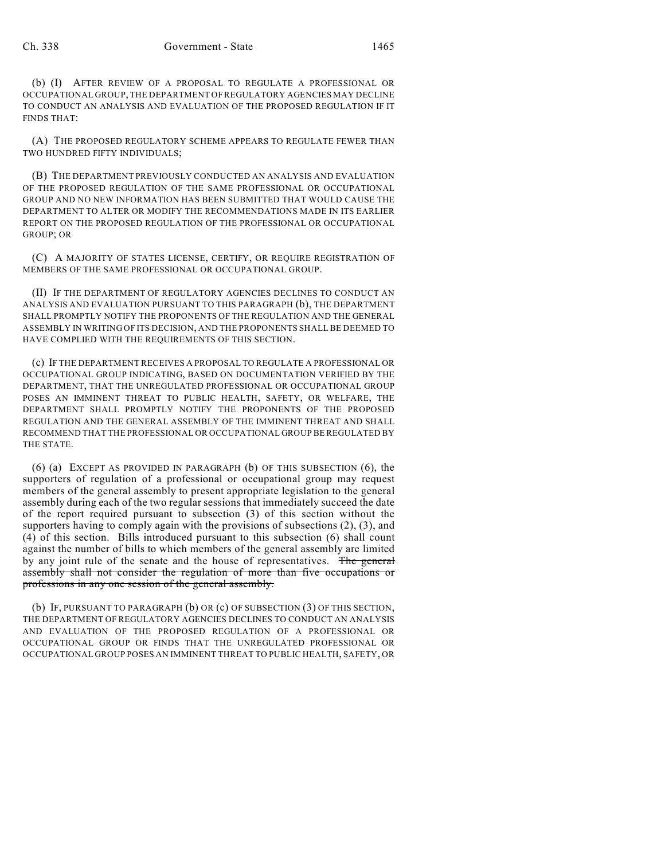(b) (I) AFTER REVIEW OF A PROPOSAL TO REGULATE A PROFESSIONAL OR OCCUPATIONAL GROUP, THE DEPARTMENT OF REGULATORY AGENCIES MAY DECLINE TO CONDUCT AN ANALYSIS AND EVALUATION OF THE PROPOSED REGULATION IF IT FINDS THAT:

(A) THE PROPOSED REGULATORY SCHEME APPEARS TO REGULATE FEWER THAN TWO HUNDRED FIFTY INDIVIDUALS;

(B) THE DEPARTMENT PREVIOUSLY CONDUCTED AN ANALYSIS AND EVALUATION OF THE PROPOSED REGULATION OF THE SAME PROFESSIONAL OR OCCUPATIONAL GROUP AND NO NEW INFORMATION HAS BEEN SUBMITTED THAT WOULD CAUSE THE DEPARTMENT TO ALTER OR MODIFY THE RECOMMENDATIONS MADE IN ITS EARLIER REPORT ON THE PROPOSED REGULATION OF THE PROFESSIONAL OR OCCUPATIONAL GROUP; OR

(C) A MAJORITY OF STATES LICENSE, CERTIFY, OR REQUIRE REGISTRATION OF MEMBERS OF THE SAME PROFESSIONAL OR OCCUPATIONAL GROUP.

(II) IF THE DEPARTMENT OF REGULATORY AGENCIES DECLINES TO CONDUCT AN ANALYSIS AND EVALUATION PURSUANT TO THIS PARAGRAPH (b), THE DEPARTMENT SHALL PROMPTLY NOTIFY THE PROPONENTS OF THE REGULATION AND THE GENERAL ASSEMBLY IN WRITING OF ITS DECISION, AND THE PROPONENTS SHALL BE DEEMED TO HAVE COMPLIED WITH THE REQUIREMENTS OF THIS SECTION.

(c) IF THE DEPARTMENT RECEIVES A PROPOSAL TO REGULATE A PROFESSIONAL OR OCCUPATIONAL GROUP INDICATING, BASED ON DOCUMENTATION VERIFIED BY THE DEPARTMENT, THAT THE UNREGULATED PROFESSIONAL OR OCCUPATIONAL GROUP POSES AN IMMINENT THREAT TO PUBLIC HEALTH, SAFETY, OR WELFARE, THE DEPARTMENT SHALL PROMPTLY NOTIFY THE PROPONENTS OF THE PROPOSED REGULATION AND THE GENERAL ASSEMBLY OF THE IMMINENT THREAT AND SHALL RECOMMEND THAT THE PROFESSIONAL OR OCCUPATIONAL GROUP BE REGULATED BY THE STATE.

(6) (a) EXCEPT AS PROVIDED IN PARAGRAPH (b) OF THIS SUBSECTION (6), the supporters of regulation of a professional or occupational group may request members of the general assembly to present appropriate legislation to the general assembly during each of the two regular sessions that immediately succeed the date of the report required pursuant to subsection (3) of this section without the supporters having to comply again with the provisions of subsections (2), (3), and (4) of this section. Bills introduced pursuant to this subsection (6) shall count against the number of bills to which members of the general assembly are limited by any joint rule of the senate and the house of representatives. The general assembly shall not consider the regulation of more than five occupations or professions in any one session of the general assembly.

(b) IF, PURSUANT TO PARAGRAPH (b) OR (c) OF SUBSECTION (3) OF THIS SECTION, THE DEPARTMENT OF REGULATORY AGENCIES DECLINES TO CONDUCT AN ANALYSIS AND EVALUATION OF THE PROPOSED REGULATION OF A PROFESSIONAL OR OCCUPATIONAL GROUP OR FINDS THAT THE UNREGULATED PROFESSIONAL OR OCCUPATIONAL GROUP POSES AN IMMINENT THREAT TO PUBLIC HEALTH, SAFETY, OR